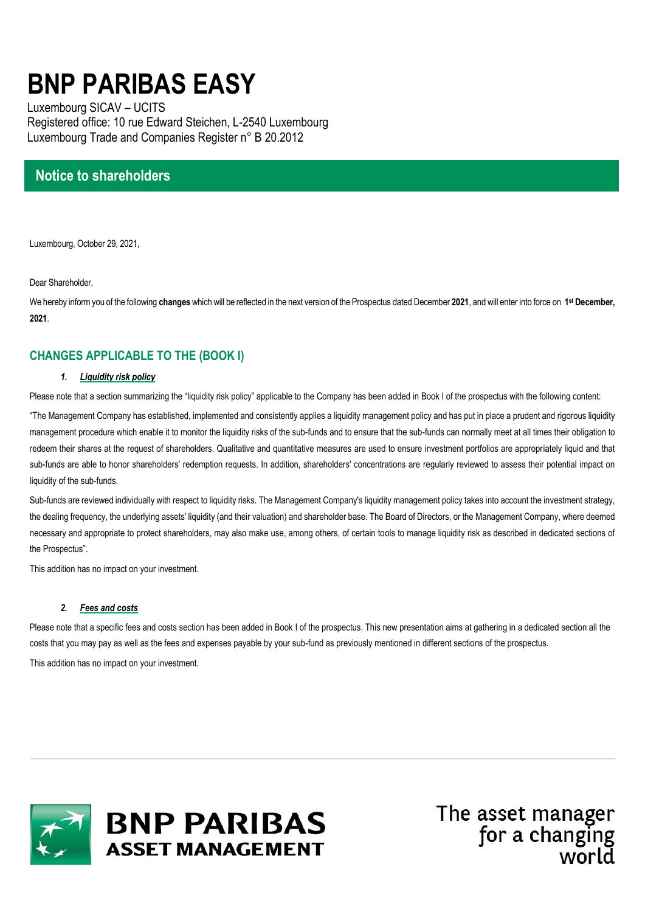# **BNP PARIBAS EASY**

Luxembourg SICAV – UCITS Registered office: 10 rue Edward Steichen, L-2540 Luxembourg Luxembourg Trade and Companies Register n° B 20.2012

# **Notice to shareholders**

Luxembourg, October 29, 2021,

Dear Shareholder,

We hereby inform you of the following **changes** which will be reflected in the next version of the Prospectus dated December **2021**, and will enter into force on **1 st December, 2021**.

# **CHANGES APPLICABLE TO THE (BOOK I)**

## *1. Liquidity risk policy*

Please note that a section summarizing the "liquidity risk policy" applicable to the Company has been added in Book I of the prospectus with the following content:

"The Management Company has established, implemented and consistently applies a liquidity management policy and has put in place a prudent and rigorous liquidity management procedure which enable it to monitor the liquidity risks of the sub-funds and to ensure that the sub-funds can normally meet at all times their obligation to redeem their shares at the request of shareholders. Qualitative and quantitative measures are used to ensure investment portfolios are appropriately liquid and that sub-funds are able to honor shareholders' redemption requests. In addition, shareholders' concentrations are regularly reviewed to assess their potential impact on liquidity of the sub-funds.

Sub-funds are reviewed individually with respect to liquidity risks. The Management Company's liquidity management policy takes into account the investment strategy, the dealing frequency, the underlying assets' liquidity (and their valuation) and shareholder base. The Board of Directors, or the Management Company, where deemed necessary and appropriate to protect shareholders, may also make use, among others, of certain tools to manage liquidity risk as described in dedicated sections of the Prospectus".

This addition has no impact on your investment.

## *2. Fees and costs*

Please note that a specific fees and costs section has been added in Book I of the prospectus. This new presentation aims at gathering in a dedicated section all the costs that you may pay as well as the fees and expenses payable by your sub-fund as previously mentioned in different sections of the prospectus. This addition has no impact on your investment.



The asset manager for a changing world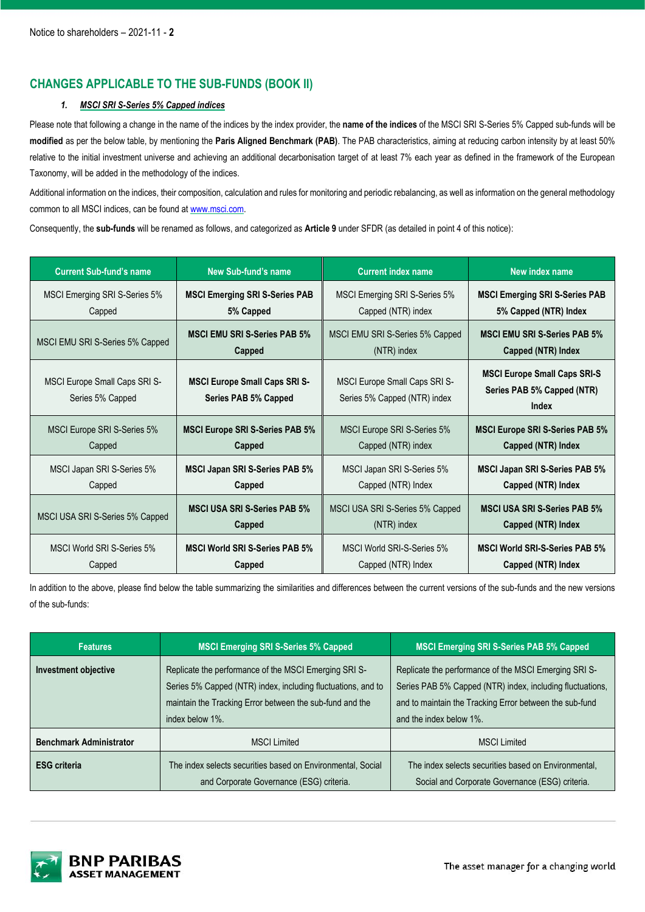# **CHANGES APPLICABLE TO THE SUB-FUNDS (BOOK II)**

# *1. MSCI SRI S-Series 5% Capped indices*

Please note that following a change in the name of the indices by the index provider, the **name of the indices** of the MSCI SRI S-Series 5% Capped sub-funds will be **modified** as per the below table, by mentioning the **Paris Aligned Benchmark (PAB)**. The PAB characteristics, aiming at reducing carbon intensity by at least 50% relative to the initial investment universe and achieving an additional decarbonisation target of at least 7% each year as defined in the framework of the European Taxonomy, will be added in the methodology of the indices.

Additional information on the indices, their composition, calculation and rules for monitoring and periodic rebalancing, as well as information on the general methodology common to all MSCI indices, can be found at [www.msci.com.](http://www.msci.com/)

Consequently, the **sub-funds** will be renamed as follows, and categorized as **Article 9** under SFDR (as detailed in point 4 of this notice):

| <b>Current Sub-fund's name</b>                    | New Sub-fund's name                                          | <b>Current index name</b>                                            | New index name                                                             |
|---------------------------------------------------|--------------------------------------------------------------|----------------------------------------------------------------------|----------------------------------------------------------------------------|
| MSCI Emerging SRI S-Series 5%                     | <b>MSCI Emerging SRI S-Series PAB</b>                        | MSCI Emerging SRI S-Series 5%                                        | <b>MSCI Emerging SRI S-Series PAB</b>                                      |
| Capped                                            | 5% Capped                                                    | Capped (NTR) index                                                   | 5% Capped (NTR) Index                                                      |
| MSCI EMU SRI S-Series 5% Capped                   | <b>MSCI EMU SRI S-Series PAB 5%</b>                          | MSCI EMU SRI S-Series 5% Capped                                      | <b>MSCI EMU SRI S-Series PAB 5%</b>                                        |
|                                                   | Capped                                                       | (NTR) index                                                          | Capped (NTR) Index                                                         |
| MSCI Europe Small Caps SRI S-<br>Series 5% Capped | <b>MSCI Europe Small Caps SRI S-</b><br>Series PAB 5% Capped | <b>MSCI Europe Small Caps SRI S-</b><br>Series 5% Capped (NTR) index | <b>MSCI Europe Small Caps SRI-S</b><br>Series PAB 5% Capped (NTR)<br>Index |
| MSCI Europe SRI S-Series 5%                       | <b>MSCI Europe SRI S-Series PAB 5%</b>                       | MSCI Europe SRI S-Series 5%                                          | <b>MSCI Europe SRI S-Series PAB 5%</b>                                     |
| Capped                                            | Capped                                                       | Capped (NTR) index                                                   | Capped (NTR) Index                                                         |
| MSCI Japan SRI S-Series 5%                        | <b>MSCI Japan SRI S-Series PAB 5%</b>                        | MSCI Japan SRI S-Series 5%                                           | <b>MSCI Japan SRI S-Series PAB 5%</b>                                      |
| Capped                                            | Capped                                                       | Capped (NTR) Index                                                   | Capped (NTR) Index                                                         |
| MSCI USA SRI S-Series 5% Capped                   | <b>MSCI USA SRI S-Series PAB 5%</b>                          | MSCI USA SRI S-Series 5% Capped                                      | <b>MSCI USA SRI S-Series PAB 5%</b>                                        |
|                                                   | Capped                                                       | (NTR) index                                                          | Capped (NTR) Index                                                         |
| MSCI World SRI S-Series 5%                        | <b>MSCI World SRI S-Series PAB 5%</b>                        | MSCI World SRI-S-Series 5%                                           | <b>MSCI World SRI-S-Series PAB 5%</b>                                      |
| Capped                                            | Capped                                                       | Capped (NTR) Index                                                   | Capped (NTR) Index                                                         |

In addition to the above, please find below the table summarizing the similarities and differences between the current versions of the sub-funds and the new versions of the sub-funds:

| <b>Features</b>                | <b>MSCI Emerging SRI S-Series 5% Capped</b>                                                                                                                                                          | <b>MSCI Emerging SRI S-Series PAB 5% Capped</b>                                                                                                                                                          |
|--------------------------------|------------------------------------------------------------------------------------------------------------------------------------------------------------------------------------------------------|----------------------------------------------------------------------------------------------------------------------------------------------------------------------------------------------------------|
| <b>Investment objective</b>    | Replicate the performance of the MSCI Emerging SRI S-<br>Series 5% Capped (NTR) index, including fluctuations, and to<br>maintain the Tracking Error between the sub-fund and the<br>index below 1%. | Replicate the performance of the MSCI Emerging SRI S-<br>Series PAB 5% Capped (NTR) index, including fluctuations,<br>and to maintain the Tracking Error between the sub-fund<br>and the index below 1%. |
| <b>Benchmark Administrator</b> | <b>MSCI Limited</b>                                                                                                                                                                                  | <b>MSCI Limited</b>                                                                                                                                                                                      |
| <b>ESG</b> criteria            | The index selects securities based on Environmental, Social<br>and Corporate Governance (ESG) criteria.                                                                                              | The index selects securities based on Environmental,<br>Social and Corporate Governance (ESG) criteria.                                                                                                  |



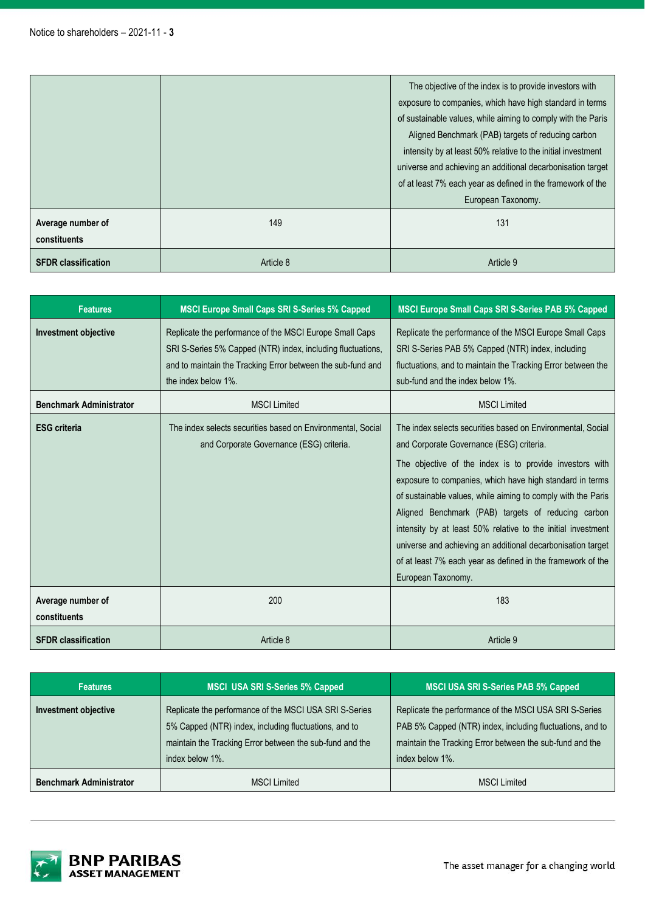|                                   |           | The objective of the index is to provide investors with<br>exposure to companies, which have high standard in terms<br>of sustainable values, while aiming to comply with the Paris<br>Aligned Benchmark (PAB) targets of reducing carbon<br>intensity by at least 50% relative to the initial investment<br>universe and achieving an additional decarbonisation target<br>of at least 7% each year as defined in the framework of the<br>European Taxonomy. |
|-----------------------------------|-----------|---------------------------------------------------------------------------------------------------------------------------------------------------------------------------------------------------------------------------------------------------------------------------------------------------------------------------------------------------------------------------------------------------------------------------------------------------------------|
| Average number of<br>constituents | 149       | 131                                                                                                                                                                                                                                                                                                                                                                                                                                                           |
| <b>SFDR classification</b>        | Article 8 | Article 9                                                                                                                                                                                                                                                                                                                                                                                                                                                     |

| <b>Features</b>                   | <b>MSCI Europe Small Caps SRI S-Series 5% Capped</b>                                                                                                                                                         | <b>MSCI Europe Small Caps SRI S-Series PAB 5% Capped</b>                                                                                                                                                                                                                                                                                                                                                                                                                                                                                                                 |
|-----------------------------------|--------------------------------------------------------------------------------------------------------------------------------------------------------------------------------------------------------------|--------------------------------------------------------------------------------------------------------------------------------------------------------------------------------------------------------------------------------------------------------------------------------------------------------------------------------------------------------------------------------------------------------------------------------------------------------------------------------------------------------------------------------------------------------------------------|
| <b>Investment objective</b>       | Replicate the performance of the MSCI Europe Small Caps<br>SRI S-Series 5% Capped (NTR) index, including fluctuations,<br>and to maintain the Tracking Error between the sub-fund and<br>the index below 1%. | Replicate the performance of the MSCI Europe Small Caps<br>SRI S-Series PAB 5% Capped (NTR) index, including<br>fluctuations, and to maintain the Tracking Error between the<br>sub-fund and the index below 1%.                                                                                                                                                                                                                                                                                                                                                         |
| <b>Benchmark Administrator</b>    | <b>MSCI Limited</b>                                                                                                                                                                                          | <b>MSCI Limited</b>                                                                                                                                                                                                                                                                                                                                                                                                                                                                                                                                                      |
| <b>ESG criteria</b>               | The index selects securities based on Environmental, Social<br>and Corporate Governance (ESG) criteria.                                                                                                      | The index selects securities based on Environmental, Social<br>and Corporate Governance (ESG) criteria.<br>The objective of the index is to provide investors with<br>exposure to companies, which have high standard in terms<br>of sustainable values, while aiming to comply with the Paris<br>Aligned Benchmark (PAB) targets of reducing carbon<br>intensity by at least 50% relative to the initial investment<br>universe and achieving an additional decarbonisation target<br>of at least 7% each year as defined in the framework of the<br>European Taxonomy. |
| Average number of<br>constituents | 200                                                                                                                                                                                                          | 183                                                                                                                                                                                                                                                                                                                                                                                                                                                                                                                                                                      |
| <b>SFDR classification</b>        | Article 8                                                                                                                                                                                                    | Article 9                                                                                                                                                                                                                                                                                                                                                                                                                                                                                                                                                                |

| <b>Features</b>                | <b>MSCI USA SRI S-Series 5% Capped</b>                                                                                                                                                         | <b>MSCI USA SRI S-Series PAB 5% Capped</b>                                                                                                                                                         |
|--------------------------------|------------------------------------------------------------------------------------------------------------------------------------------------------------------------------------------------|----------------------------------------------------------------------------------------------------------------------------------------------------------------------------------------------------|
| <b>Investment objective</b>    | Replicate the performance of the MSCI USA SRI S-Series<br>5% Capped (NTR) index, including fluctuations, and to<br>maintain the Tracking Error between the sub-fund and the<br>index below 1%. | Replicate the performance of the MSCI USA SRI S-Series<br>PAB 5% Capped (NTR) index, including fluctuations, and to<br>maintain the Tracking Error between the sub-fund and the<br>index below 1%. |
| <b>Benchmark Administrator</b> | <b>MSCI Limited</b>                                                                                                                                                                            | <b>MSCI Limited</b>                                                                                                                                                                                |

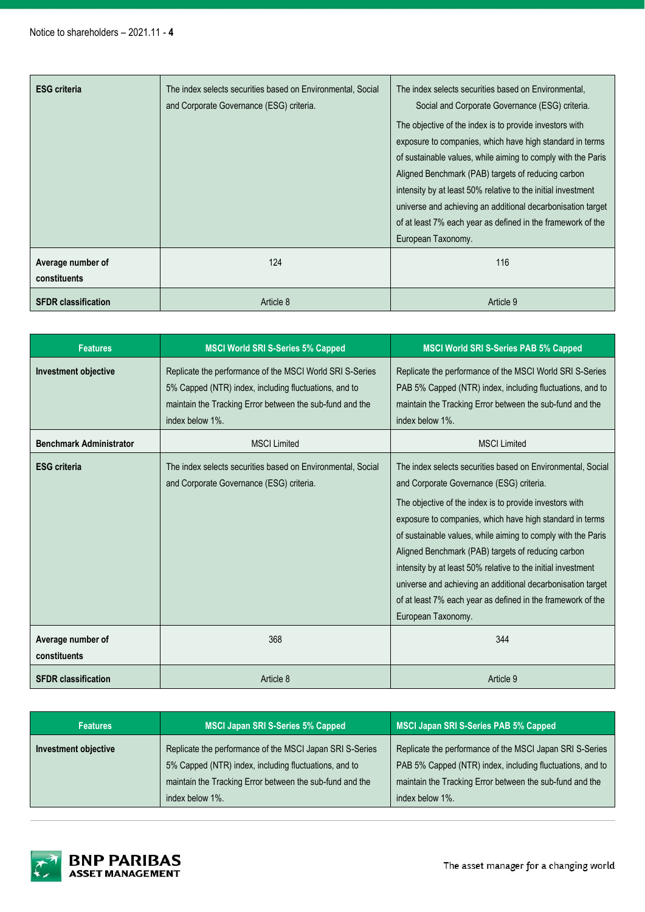| <b>ESG criteria</b>               | The index selects securities based on Environmental, Social<br>and Corporate Governance (ESG) criteria. | The index selects securities based on Environmental,<br>Social and Corporate Governance (ESG) criteria.<br>The objective of the index is to provide investors with<br>exposure to companies, which have high standard in terms<br>of sustainable values, while aiming to comply with the Paris<br>Aligned Benchmark (PAB) targets of reducing carbon<br>intensity by at least 50% relative to the initial investment<br>universe and achieving an additional decarbonisation target<br>of at least 7% each year as defined in the framework of the<br>European Taxonomy. |
|-----------------------------------|---------------------------------------------------------------------------------------------------------|--------------------------------------------------------------------------------------------------------------------------------------------------------------------------------------------------------------------------------------------------------------------------------------------------------------------------------------------------------------------------------------------------------------------------------------------------------------------------------------------------------------------------------------------------------------------------|
| Average number of<br>constituents | 124                                                                                                     | 116                                                                                                                                                                                                                                                                                                                                                                                                                                                                                                                                                                      |
| <b>SFDR classification</b>        | Article 8                                                                                               | Article 9                                                                                                                                                                                                                                                                                                                                                                                                                                                                                                                                                                |

| <b>Features</b>                   | <b>MSCI World SRI S-Series 5% Capped</b>                                                                                                                                                         | <b>MSCI World SRI S-Series PAB 5% Capped</b>                                                                                                                                                                                                                                                                                                                                                                                                                                                                                                                             |
|-----------------------------------|--------------------------------------------------------------------------------------------------------------------------------------------------------------------------------------------------|--------------------------------------------------------------------------------------------------------------------------------------------------------------------------------------------------------------------------------------------------------------------------------------------------------------------------------------------------------------------------------------------------------------------------------------------------------------------------------------------------------------------------------------------------------------------------|
| <b>Investment objective</b>       | Replicate the performance of the MSCI World SRI S-Series<br>5% Capped (NTR) index, including fluctuations, and to<br>maintain the Tracking Error between the sub-fund and the<br>index below 1%. | Replicate the performance of the MSCI World SRI S-Series<br>PAB 5% Capped (NTR) index, including fluctuations, and to<br>maintain the Tracking Error between the sub-fund and the<br>index below 1%.                                                                                                                                                                                                                                                                                                                                                                     |
| <b>Benchmark Administrator</b>    | <b>MSCI Limited</b>                                                                                                                                                                              | <b>MSCI Limited</b>                                                                                                                                                                                                                                                                                                                                                                                                                                                                                                                                                      |
| <b>ESG</b> criteria               | The index selects securities based on Environmental, Social<br>and Corporate Governance (ESG) criteria.                                                                                          | The index selects securities based on Environmental, Social<br>and Corporate Governance (ESG) criteria.<br>The objective of the index is to provide investors with<br>exposure to companies, which have high standard in terms<br>of sustainable values, while aiming to comply with the Paris<br>Aligned Benchmark (PAB) targets of reducing carbon<br>intensity by at least 50% relative to the initial investment<br>universe and achieving an additional decarbonisation target<br>of at least 7% each year as defined in the framework of the<br>European Taxonomy. |
| Average number of<br>constituents | 368                                                                                                                                                                                              | 344                                                                                                                                                                                                                                                                                                                                                                                                                                                                                                                                                                      |
| <b>SFDR</b> classification        | Article 8                                                                                                                                                                                        | Article 9                                                                                                                                                                                                                                                                                                                                                                                                                                                                                                                                                                |

| <b>Features</b>      | <b>MSCI Japan SRI S-Series 5% Capped</b>                                                                                                                                                         | <b>MSCI Japan SRI S-Series PAB 5% Capped</b>                                                                                                                                                         |
|----------------------|--------------------------------------------------------------------------------------------------------------------------------------------------------------------------------------------------|------------------------------------------------------------------------------------------------------------------------------------------------------------------------------------------------------|
| Investment objective | Replicate the performance of the MSCI Japan SRI S-Series<br>5% Capped (NTR) index, including fluctuations, and to<br>maintain the Tracking Error between the sub-fund and the<br>index below 1%. | Replicate the performance of the MSCI Japan SRI S-Series<br>PAB 5% Capped (NTR) index, including fluctuations, and to<br>maintain the Tracking Error between the sub-fund and the<br>index below 1%. |

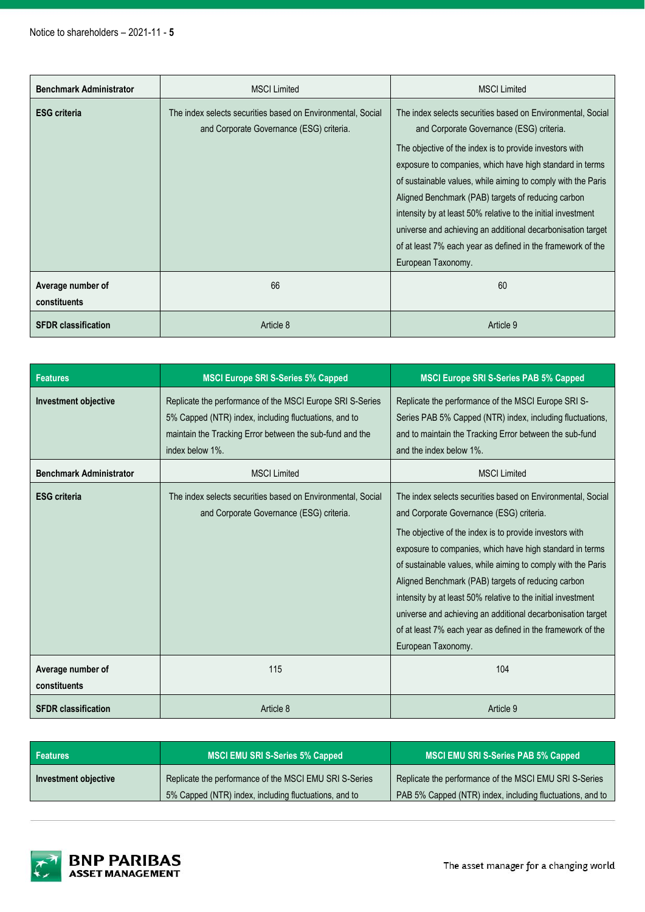| <b>Benchmark Administrator</b>    | <b>MSCI Limited</b>                                                                                     | <b>MSCI Limited</b>                                                                                                                                                                                                                                                                                                                                                                                                                                                                                                                                                      |
|-----------------------------------|---------------------------------------------------------------------------------------------------------|--------------------------------------------------------------------------------------------------------------------------------------------------------------------------------------------------------------------------------------------------------------------------------------------------------------------------------------------------------------------------------------------------------------------------------------------------------------------------------------------------------------------------------------------------------------------------|
| <b>ESG criteria</b>               | The index selects securities based on Environmental, Social<br>and Corporate Governance (ESG) criteria. | The index selects securities based on Environmental, Social<br>and Corporate Governance (ESG) criteria.<br>The objective of the index is to provide investors with<br>exposure to companies, which have high standard in terms<br>of sustainable values, while aiming to comply with the Paris<br>Aligned Benchmark (PAB) targets of reducing carbon<br>intensity by at least 50% relative to the initial investment<br>universe and achieving an additional decarbonisation target<br>of at least 7% each year as defined in the framework of the<br>European Taxonomy. |
| Average number of<br>constituents | 66                                                                                                      | 60                                                                                                                                                                                                                                                                                                                                                                                                                                                                                                                                                                       |
| <b>SFDR classification</b>        | Article 8                                                                                               | Article 9                                                                                                                                                                                                                                                                                                                                                                                                                                                                                                                                                                |

| <b>Features</b>                   | <b>MSCI Europe SRI S-Series 5% Capped</b>                                                                                                                                                         | <b>MSCI Europe SRI S-Series PAB 5% Capped</b>                                                                                                                                                                                                                                                                                                                                                                                                                                                                                                                            |
|-----------------------------------|---------------------------------------------------------------------------------------------------------------------------------------------------------------------------------------------------|--------------------------------------------------------------------------------------------------------------------------------------------------------------------------------------------------------------------------------------------------------------------------------------------------------------------------------------------------------------------------------------------------------------------------------------------------------------------------------------------------------------------------------------------------------------------------|
| <b>Investment objective</b>       | Replicate the performance of the MSCI Europe SRI S-Series<br>5% Capped (NTR) index, including fluctuations, and to<br>maintain the Tracking Error between the sub-fund and the<br>index below 1%. | Replicate the performance of the MSCI Europe SRI S-<br>Series PAB 5% Capped (NTR) index, including fluctuations,<br>and to maintain the Tracking Error between the sub-fund<br>and the index below 1%.                                                                                                                                                                                                                                                                                                                                                                   |
| <b>Benchmark Administrator</b>    | <b>MSCI Limited</b>                                                                                                                                                                               | <b>MSCI</b> Limited                                                                                                                                                                                                                                                                                                                                                                                                                                                                                                                                                      |
| <b>ESG criteria</b>               | The index selects securities based on Environmental, Social<br>and Corporate Governance (ESG) criteria.                                                                                           | The index selects securities based on Environmental, Social<br>and Corporate Governance (ESG) criteria.<br>The objective of the index is to provide investors with<br>exposure to companies, which have high standard in terms<br>of sustainable values, while aiming to comply with the Paris<br>Aligned Benchmark (PAB) targets of reducing carbon<br>intensity by at least 50% relative to the initial investment<br>universe and achieving an additional decarbonisation target<br>of at least 7% each year as defined in the framework of the<br>European Taxonomy. |
| Average number of<br>constituents | 115                                                                                                                                                                                               | 104                                                                                                                                                                                                                                                                                                                                                                                                                                                                                                                                                                      |
| <b>SFDR classification</b>        | Article 8                                                                                                                                                                                         | Article 9                                                                                                                                                                                                                                                                                                                                                                                                                                                                                                                                                                |

| <b>Features</b>      | <b>MSCI EMU SRI S-Series 5% Capped</b>                 | <b>MSCI EMU SRI S-Series PAB 5% Capped</b>                |
|----------------------|--------------------------------------------------------|-----------------------------------------------------------|
| Investment objective | Replicate the performance of the MSCI EMU SRI S-Series | Replicate the performance of the MSCI EMU SRI S-Series    |
|                      | 5% Capped (NTR) index, including fluctuations, and to  | PAB 5% Capped (NTR) index, including fluctuations, and to |

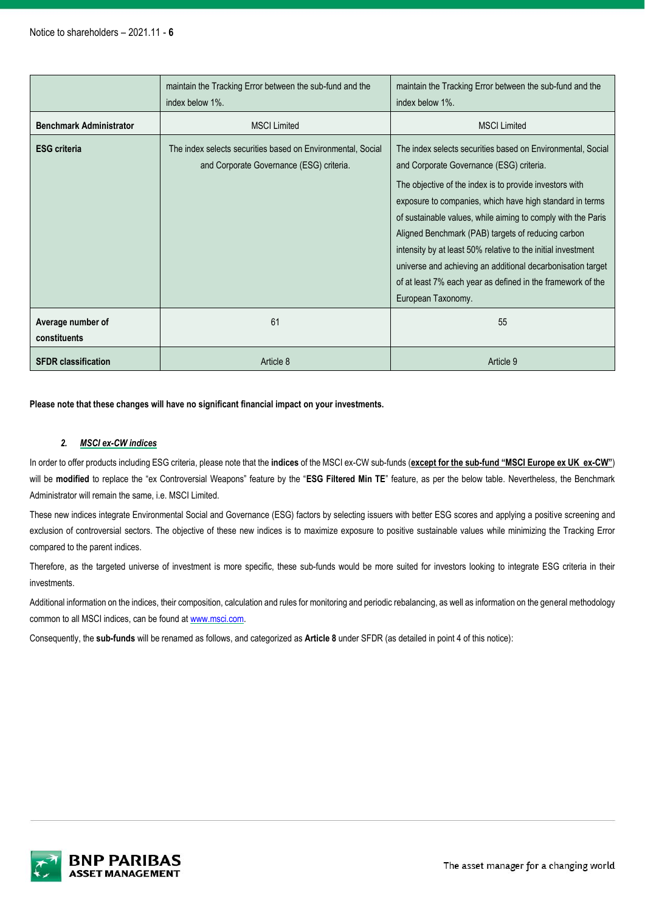|                                   | maintain the Tracking Error between the sub-fund and the<br>index below 1%.                             | maintain the Tracking Error between the sub-fund and the<br>index below 1%.                                                                                                                                                                                                                                                                                                                                                                                                                                                                                              |
|-----------------------------------|---------------------------------------------------------------------------------------------------------|--------------------------------------------------------------------------------------------------------------------------------------------------------------------------------------------------------------------------------------------------------------------------------------------------------------------------------------------------------------------------------------------------------------------------------------------------------------------------------------------------------------------------------------------------------------------------|
| <b>Benchmark Administrator</b>    | <b>MSCI Limited</b>                                                                                     | <b>MSCI Limited</b>                                                                                                                                                                                                                                                                                                                                                                                                                                                                                                                                                      |
| <b>ESG criteria</b>               | The index selects securities based on Environmental, Social<br>and Corporate Governance (ESG) criteria. | The index selects securities based on Environmental, Social<br>and Corporate Governance (ESG) criteria.<br>The objective of the index is to provide investors with<br>exposure to companies, which have high standard in terms<br>of sustainable values, while aiming to comply with the Paris<br>Aligned Benchmark (PAB) targets of reducing carbon<br>intensity by at least 50% relative to the initial investment<br>universe and achieving an additional decarbonisation target<br>of at least 7% each year as defined in the framework of the<br>European Taxonomy. |
| Average number of<br>constituents | 61                                                                                                      | 55                                                                                                                                                                                                                                                                                                                                                                                                                                                                                                                                                                       |
| <b>SFDR classification</b>        | Article 8                                                                                               | Article 9                                                                                                                                                                                                                                                                                                                                                                                                                                                                                                                                                                |

**Please note that these changes will have no significant financial impact on your investments.**

## *2. MSCI ex-CW indices*

In order to offer products including ESG criteria, please note that the **indices** of the MSCI ex-CW sub-funds (**except for the sub-fund "MSCI Europe ex UK ex-CW"**) will be **modified** to replace the "ex Controversial Weapons" feature by the "**ESG Filtered Min TE**" feature, as per the below table. Nevertheless, the Benchmark Administrator will remain the same, i.e. MSCI Limited.

These new indices integrate Environmental Social and Governance (ESG) factors by selecting issuers with better ESG scores and applying a positive screening and exclusion of controversial sectors. The objective of these new indices is to maximize exposure to positive sustainable values while minimizing the Tracking Error compared to the parent indices.

Therefore, as the targeted universe of investment is more specific, these sub-funds would be more suited for investors looking to integrate ESG criteria in their investments.

Additional information on the indices, their composition, calculation and rules for monitoring and periodic rebalancing, as well as information on the general methodology common to all MSCI indices, can be found at [www.msci.com.](http://www.msci.com/)

Consequently, the **sub-funds** will be renamed as follows, and categorized as **Article 8** under SFDR (as detailed in point 4 of this notice):

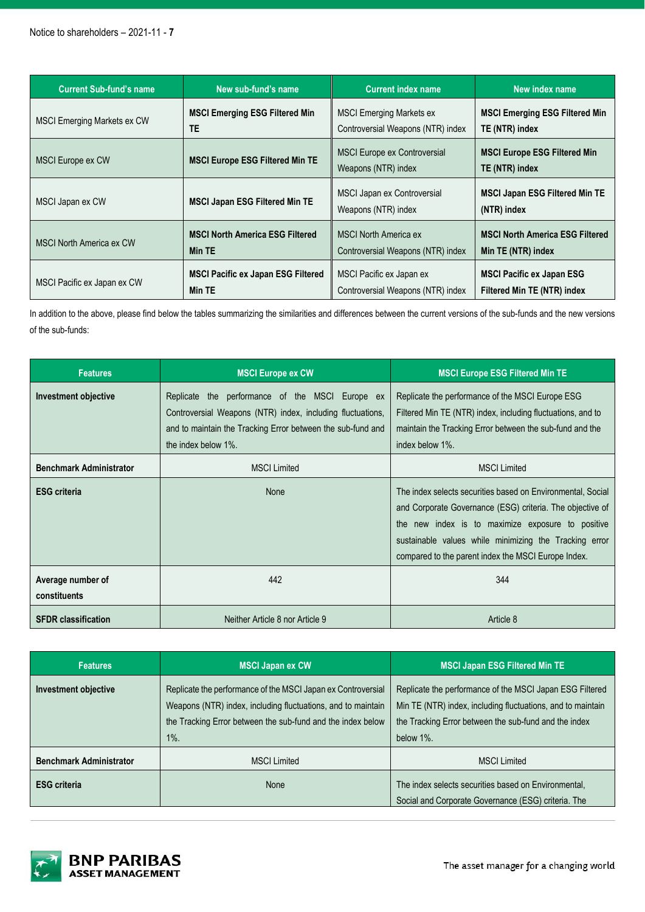| <b>Current Sub-fund's name</b>     | New sub-fund's name                       | <b>Current index name</b>                                  | New index name                                        |
|------------------------------------|-------------------------------------------|------------------------------------------------------------|-------------------------------------------------------|
| <b>MSCI Emerging Markets ex CW</b> | <b>MSCI Emerging ESG Filtered Min</b>     | <b>MSCI Emerging Markets ex</b>                            | <b>MSCI Emerging ESG Filtered Min</b>                 |
|                                    | TE                                        | Controversial Weapons (NTR) index                          | TE (NTR) index                                        |
| <b>MSCI Europe ex CW</b>           | <b>MSCI Europe ESG Filtered Min TE</b>    | <b>MSCI Europe ex Controversial</b><br>Weapons (NTR) index | <b>MSCI Europe ESG Filtered Min</b><br>TE (NTR) index |
| MSCI Japan ex CW                   | <b>MSCI Japan ESG Filtered Min TE</b>     | MSCI Japan ex Controversial<br>Weapons (NTR) index         | <b>MSCI Japan ESG Filtered Min TE</b><br>(NTR) index  |
| <b>MSCI North America ex CW</b>    | <b>MSCI North America ESG Filtered</b>    | <b>MSCI North America ex</b>                               | <b>MSCI North America ESG Filtered</b>                |
|                                    | Min TE                                    | Controversial Weapons (NTR) index                          | Min TE (NTR) index                                    |
| MSCI Pacific ex Japan ex CW        | <b>MSCI Pacific ex Japan ESG Filtered</b> | MSCI Pacific ex Japan ex                                   | <b>MSCI Pacific ex Japan ESG</b>                      |
|                                    | Min TE                                    | Controversial Weapons (NTR) index                          | Filtered Min TE (NTR) index                           |

In addition to the above, please find below the tables summarizing the similarities and differences between the current versions of the sub-funds and the new versions of the sub-funds:

| <b>Features</b>                   | <b>MSCI Europe ex CW</b>                                                                                                                                                                               | <b>MSCI Europe ESG Filtered Min TE</b>                                                                                                                                                                                                                                                         |
|-----------------------------------|--------------------------------------------------------------------------------------------------------------------------------------------------------------------------------------------------------|------------------------------------------------------------------------------------------------------------------------------------------------------------------------------------------------------------------------------------------------------------------------------------------------|
| <b>Investment objective</b>       | the performance of the MSCI Europe ex<br>Replicate<br>Controversial Weapons (NTR) index, including fluctuations,<br>and to maintain the Tracking Error between the sub-fund and<br>the index below 1%. | Replicate the performance of the MSCI Europe ESG<br>Filtered Min TE (NTR) index, including fluctuations, and to<br>maintain the Tracking Error between the sub-fund and the<br>index below 1%.                                                                                                 |
| <b>Benchmark Administrator</b>    | <b>MSCI Limited</b>                                                                                                                                                                                    | <b>MSCI Limited</b>                                                                                                                                                                                                                                                                            |
| <b>ESG</b> criteria               | None                                                                                                                                                                                                   | The index selects securities based on Environmental, Social<br>and Corporate Governance (ESG) criteria. The objective of<br>the new index is to maximize exposure to positive<br>sustainable values while minimizing the Tracking error<br>compared to the parent index the MSCI Europe Index. |
| Average number of<br>constituents | 442                                                                                                                                                                                                    | 344                                                                                                                                                                                                                                                                                            |
| <b>SFDR classification</b>        | Neither Article 8 nor Article 9                                                                                                                                                                        | Article 8                                                                                                                                                                                                                                                                                      |

| <b>Features</b>                | <b>MSCI Japan ex CW</b>                                                                                                                                                                                | <b>MSCI Japan ESG Filtered Min TE</b>                                                                                                                                                         |
|--------------------------------|--------------------------------------------------------------------------------------------------------------------------------------------------------------------------------------------------------|-----------------------------------------------------------------------------------------------------------------------------------------------------------------------------------------------|
| <b>Investment objective</b>    | Replicate the performance of the MSCI Japan ex Controversial<br>Weapons (NTR) index, including fluctuations, and to maintain<br>the Tracking Error between the sub-fund and the index below<br>$1\%$ . | Replicate the performance of the MSCI Japan ESG Filtered<br>Min TE (NTR) index, including fluctuations, and to maintain<br>the Tracking Error between the sub-fund and the index<br>below 1%. |
| <b>Benchmark Administrator</b> | <b>MSCI Limited</b>                                                                                                                                                                                    | <b>MSCI Limited</b>                                                                                                                                                                           |
| <b>ESG</b> criteria            | None                                                                                                                                                                                                   | The index selects securities based on Environmental,<br>Social and Corporate Governance (ESG) criteria. The                                                                                   |



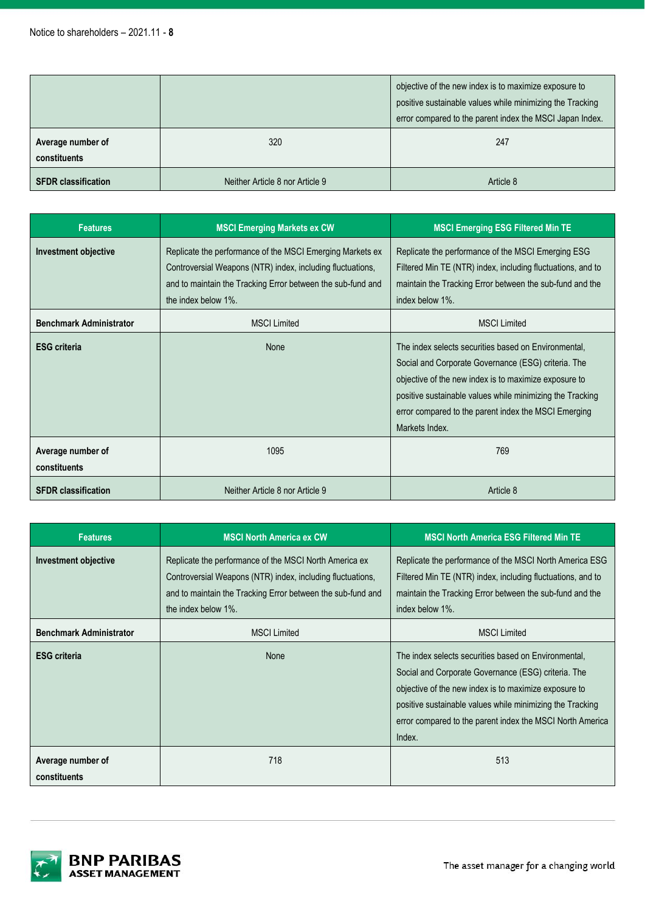|                                   |                                 | objective of the new index is to maximize exposure to<br>positive sustainable values while minimizing the Tracking<br>error compared to the parent index the MSCI Japan Index. |
|-----------------------------------|---------------------------------|--------------------------------------------------------------------------------------------------------------------------------------------------------------------------------|
| Average number of<br>constituents | 320                             | 247                                                                                                                                                                            |
| <b>SFDR classification</b>        | Neither Article 8 nor Article 9 | Article 8                                                                                                                                                                      |

| <b>Features</b>                                        | <b>MSCI Emerging Markets ex CW</b>                                                                                                                                                                                                   | <b>MSCI Emerging ESG Filtered Min TE</b>                                                                                                                                                                                                                                                                    |
|--------------------------------------------------------|--------------------------------------------------------------------------------------------------------------------------------------------------------------------------------------------------------------------------------------|-------------------------------------------------------------------------------------------------------------------------------------------------------------------------------------------------------------------------------------------------------------------------------------------------------------|
| Investment objective<br><b>Benchmark Administrator</b> | Replicate the performance of the MSCI Emerging Markets ex<br>Controversial Weapons (NTR) index, including fluctuations,<br>and to maintain the Tracking Error between the sub-fund and<br>the index below 1%.<br><b>MSCI Limited</b> | Replicate the performance of the MSCI Emerging ESG<br>Filtered Min TE (NTR) index, including fluctuations, and to<br>maintain the Tracking Error between the sub-fund and the<br>index below 1%.<br><b>MSCI Limited</b>                                                                                     |
| <b>ESG</b> criteria                                    | None                                                                                                                                                                                                                                 | The index selects securities based on Environmental,<br>Social and Corporate Governance (ESG) criteria. The<br>objective of the new index is to maximize exposure to<br>positive sustainable values while minimizing the Tracking<br>error compared to the parent index the MSCI Emerging<br>Markets Index. |
| Average number of<br>constituents                      | 1095                                                                                                                                                                                                                                 | 769                                                                                                                                                                                                                                                                                                         |
| <b>SFDR classification</b>                             | Neither Article 8 nor Article 9                                                                                                                                                                                                      | Article 8                                                                                                                                                                                                                                                                                                   |

| <b>Features</b>                   | <b>MSCI North America ex CW</b>                                                                                                                                                                            | <b>MSCI North America ESG Filtered Min TE</b>                                                                                                                                                                                                                                                            |
|-----------------------------------|------------------------------------------------------------------------------------------------------------------------------------------------------------------------------------------------------------|----------------------------------------------------------------------------------------------------------------------------------------------------------------------------------------------------------------------------------------------------------------------------------------------------------|
| <b>Investment objective</b>       | Replicate the performance of the MSCI North America ex<br>Controversial Weapons (NTR) index, including fluctuations,<br>and to maintain the Tracking Error between the sub-fund and<br>the index below 1%. | Replicate the performance of the MSCI North America ESG<br>Filtered Min TE (NTR) index, including fluctuations, and to<br>maintain the Tracking Error between the sub-fund and the<br>index below 1%.                                                                                                    |
| <b>Benchmark Administrator</b>    | <b>MSCI Limited</b>                                                                                                                                                                                        | <b>MSCI Limited</b>                                                                                                                                                                                                                                                                                      |
| <b>ESG criteria</b>               | <b>None</b>                                                                                                                                                                                                | The index selects securities based on Environmental.<br>Social and Corporate Governance (ESG) criteria. The<br>objective of the new index is to maximize exposure to<br>positive sustainable values while minimizing the Tracking<br>error compared to the parent index the MSCI North America<br>Index. |
| Average number of<br>constituents | 718                                                                                                                                                                                                        | 513                                                                                                                                                                                                                                                                                                      |

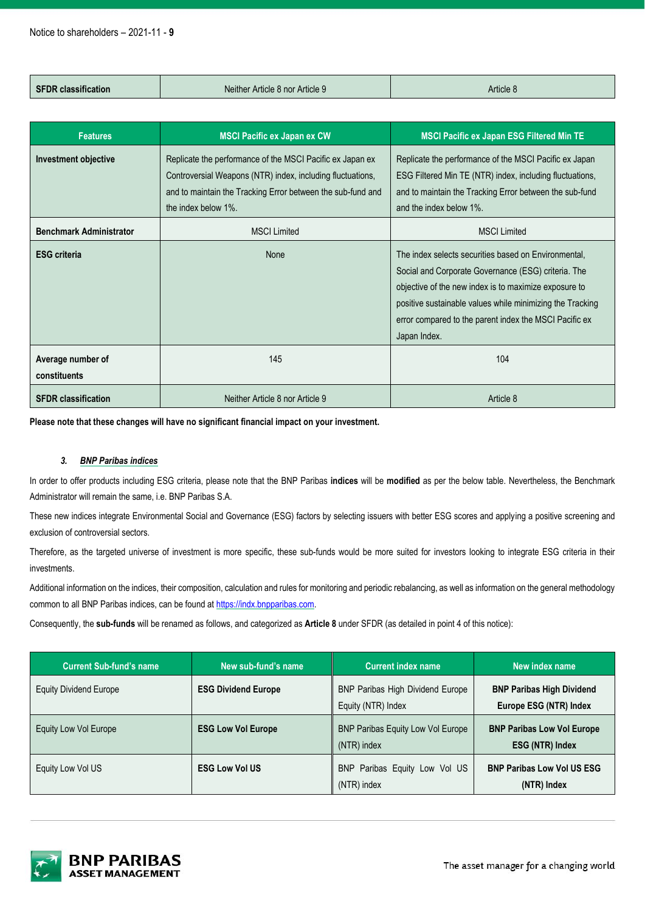| <b>SFDR classification</b>        | Neither Article 8 nor Article 9                                                                                                                                                                               | Article 8                                                                                                                                                                                                                                                                                                   |
|-----------------------------------|---------------------------------------------------------------------------------------------------------------------------------------------------------------------------------------------------------------|-------------------------------------------------------------------------------------------------------------------------------------------------------------------------------------------------------------------------------------------------------------------------------------------------------------|
|                                   |                                                                                                                                                                                                               |                                                                                                                                                                                                                                                                                                             |
| <b>Features</b>                   | <b>MSCI Pacific ex Japan ex CW</b>                                                                                                                                                                            | <b>MSCI Pacific ex Japan ESG Filtered Min TE</b>                                                                                                                                                                                                                                                            |
| Investment objective              | Replicate the performance of the MSCI Pacific ex Japan ex<br>Controversial Weapons (NTR) index, including fluctuations,<br>and to maintain the Tracking Error between the sub-fund and<br>the index below 1%. | Replicate the performance of the MSCI Pacific ex Japan<br>ESG Filtered Min TE (NTR) index, including fluctuations,<br>and to maintain the Tracking Error between the sub-fund<br>and the index below 1%.                                                                                                    |
| <b>Benchmark Administrator</b>    | <b>MSCI Limited</b>                                                                                                                                                                                           | <b>MSCI Limited</b>                                                                                                                                                                                                                                                                                         |
| <b>ESG</b> criteria               | None                                                                                                                                                                                                          | The index selects securities based on Environmental.<br>Social and Corporate Governance (ESG) criteria. The<br>objective of the new index is to maximize exposure to<br>positive sustainable values while minimizing the Tracking<br>error compared to the parent index the MSCI Pacific ex<br>Japan Index. |
| Average number of<br>constituents | 145                                                                                                                                                                                                           | 104                                                                                                                                                                                                                                                                                                         |
| <b>SFDR classification</b>        | Neither Article 8 nor Article 9                                                                                                                                                                               | Article 8                                                                                                                                                                                                                                                                                                   |

**Please note that these changes will have no significant financial impact on your investment.**

#### *3. BNP Paribas indices*

In order to offer products including ESG criteria, please note that the BNP Paribas **indices** will be **modified** as per the below table. Nevertheless, the Benchmark Administrator will remain the same, i.e. BNP Paribas S.A.

These new indices integrate Environmental Social and Governance (ESG) factors by selecting issuers with better ESG scores and applying a positive screening and exclusion of controversial sectors.

Therefore, as the targeted universe of investment is more specific, these sub-funds would be more suited for investors looking to integrate ESG criteria in their investments.

Additional information on the indices, their composition, calculation and rules for monitoring and periodic rebalancing, as well as information on the general methodology common to all BNP Paribas indices, can be found at [https://indx.bnpparibas.com.](https://indx.bnpparibas.com/)

Consequently, the **sub-funds** will be renamed as follows, and categorized as **Article 8** under SFDR (as detailed in point 4 of this notice):

| <b>Current Sub-fund's name</b> | New sub-fund's name        | <b>Current index name</b>                                     | New index name                                              |
|--------------------------------|----------------------------|---------------------------------------------------------------|-------------------------------------------------------------|
| <b>Equity Dividend Europe</b>  | <b>ESG Dividend Europe</b> | <b>BNP Paribas High Dividend Europe</b><br>Equity (NTR) Index | <b>BNP Paribas High Dividend</b><br>Europe ESG (NTR) Index  |
| Equity Low Vol Europe          | <b>ESG Low Vol Europe</b>  | <b>BNP Paribas Equity Low Vol Europe</b><br>(NTR) index       | <b>BNP Paribas Low Vol Europe</b><br><b>ESG (NTR) Index</b> |
| Equity Low Vol US              | <b>ESG Low Vol US</b>      | BNP Paribas Equity Low Vol US<br>(NTR) index                  | <b>BNP Paribas Low Vol US ESG</b><br>(NTR) Index            |



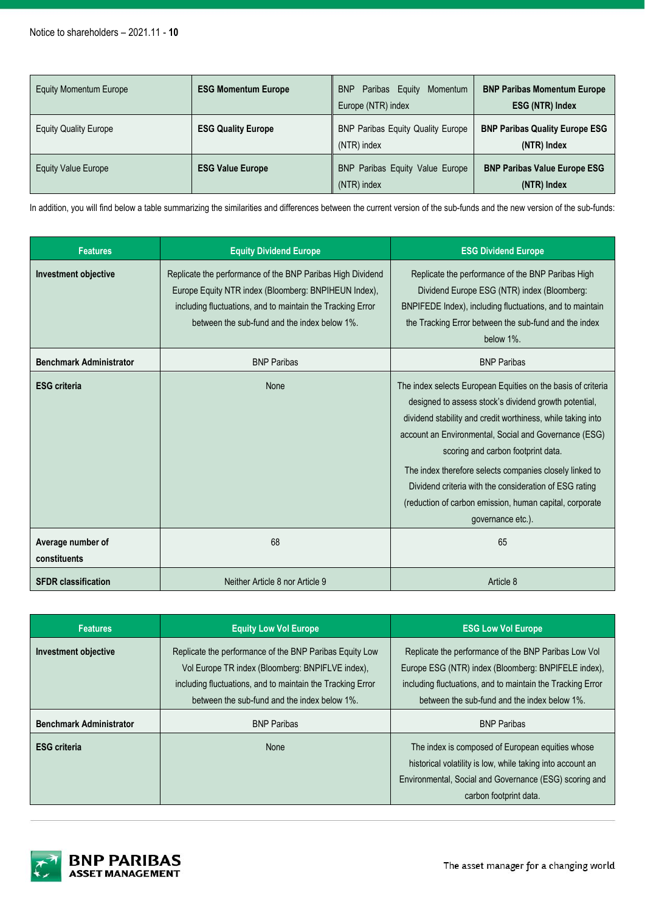| <b>Equity Momentum Europe</b> | <b>ESG Momentum Europe</b> | <b>BNP</b><br>Paribas Equity<br>Momentum<br>Europe (NTR) index | <b>BNP Paribas Momentum Europe</b><br><b>ESG (NTR) Index</b> |
|-------------------------------|----------------------------|----------------------------------------------------------------|--------------------------------------------------------------|
| <b>Equity Quality Europe</b>  | <b>ESG Quality Europe</b>  | <b>BNP Paribas Equity Quality Europe</b><br>(NTR) index        | <b>BNP Paribas Quality Europe ESG</b><br>(NTR) Index         |
| <b>Equity Value Europe</b>    | <b>ESG Value Europe</b>    | BNP Paribas Equity Value Europe<br>(NTR) index                 | <b>BNP Paribas Value Europe ESG</b><br>(NTR) Index           |

In addition, you will find below a table summarizing the similarities and differences between the current version of the sub-funds and the new version of the sub-funds:

| <b>Features</b>                   | <b>Equity Dividend Europe</b>                                                                                                                                                                                                    | <b>ESG Dividend Europe</b>                                                                                                                                                                                                                                                                                                                                                                                                                                                               |
|-----------------------------------|----------------------------------------------------------------------------------------------------------------------------------------------------------------------------------------------------------------------------------|------------------------------------------------------------------------------------------------------------------------------------------------------------------------------------------------------------------------------------------------------------------------------------------------------------------------------------------------------------------------------------------------------------------------------------------------------------------------------------------|
| <b>Investment objective</b>       | Replicate the performance of the BNP Paribas High Dividend<br>Europe Equity NTR index (Bloomberg: BNPIHEUN Index),<br>including fluctuations, and to maintain the Tracking Error<br>between the sub-fund and the index below 1%. | Replicate the performance of the BNP Paribas High<br>Dividend Europe ESG (NTR) index (Bloomberg:<br>BNPIFEDE Index), including fluctuations, and to maintain<br>the Tracking Error between the sub-fund and the index<br>below 1%.                                                                                                                                                                                                                                                       |
| <b>Benchmark Administrator</b>    | <b>BNP Paribas</b>                                                                                                                                                                                                               | <b>BNP Paribas</b>                                                                                                                                                                                                                                                                                                                                                                                                                                                                       |
| <b>ESG</b> criteria               | <b>None</b>                                                                                                                                                                                                                      | The index selects European Equities on the basis of criteria<br>designed to assess stock's dividend growth potential,<br>dividend stability and credit worthiness, while taking into<br>account an Environmental, Social and Governance (ESG)<br>scoring and carbon footprint data.<br>The index therefore selects companies closely linked to<br>Dividend criteria with the consideration of ESG rating<br>(reduction of carbon emission, human capital, corporate<br>governance etc.). |
| Average number of<br>constituents | 68                                                                                                                                                                                                                               | 65                                                                                                                                                                                                                                                                                                                                                                                                                                                                                       |
| <b>SFDR</b> classification        | Neither Article 8 nor Article 9                                                                                                                                                                                                  | Article 8                                                                                                                                                                                                                                                                                                                                                                                                                                                                                |

| <b>Features</b>                | <b>Equity Low Vol Europe</b>                                                                                                                                                                                              | <b>ESG Low Vol Europe</b>                                                                                                                                                                                                 |
|--------------------------------|---------------------------------------------------------------------------------------------------------------------------------------------------------------------------------------------------------------------------|---------------------------------------------------------------------------------------------------------------------------------------------------------------------------------------------------------------------------|
| <b>Investment objective</b>    | Replicate the performance of the BNP Paribas Equity Low<br>Vol Europe TR index (Bloomberg: BNPIFLVE index),<br>including fluctuations, and to maintain the Tracking Error<br>between the sub-fund and the index below 1%. | Replicate the performance of the BNP Paribas Low Vol<br>Europe ESG (NTR) index (Bloomberg: BNPIFELE index),<br>including fluctuations, and to maintain the Tracking Error<br>between the sub-fund and the index below 1%. |
| <b>Benchmark Administrator</b> | <b>BNP Paribas</b>                                                                                                                                                                                                        | <b>BNP Paribas</b>                                                                                                                                                                                                        |
| <b>ESG criteria</b>            | <b>None</b>                                                                                                                                                                                                               | The index is composed of European equities whose<br>historical volatility is low, while taking into account an<br>Environmental, Social and Governance (ESG) scoring and<br>carbon footprint data.                        |

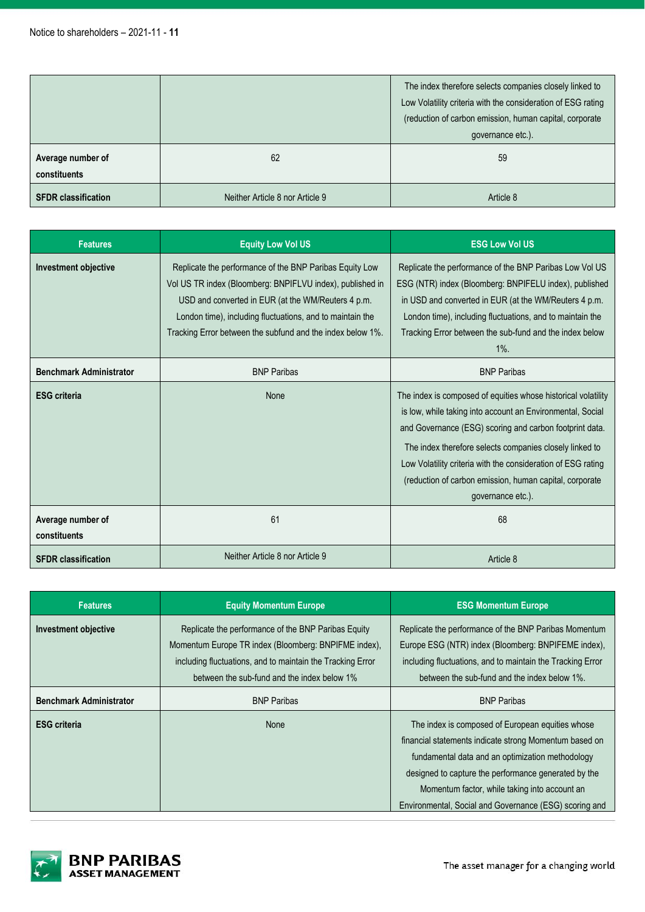|                                   |                                 | The index therefore selects companies closely linked to<br>Low Volatility criteria with the consideration of ESG rating<br>(reduction of carbon emission, human capital, corporate<br>governance etc.). |
|-----------------------------------|---------------------------------|---------------------------------------------------------------------------------------------------------------------------------------------------------------------------------------------------------|
| Average number of<br>constituents | 62                              | 59                                                                                                                                                                                                      |
| <b>SFDR classification</b>        | Neither Article 8 nor Article 9 | Article 8                                                                                                                                                                                               |

| <b>Features</b>                   | <b>Equity Low Vol US</b>                                                                                                                                                                                                                                                                              | <b>ESG Low Vol US</b>                                                                                                                                                                                                                                                                                                                                                                             |
|-----------------------------------|-------------------------------------------------------------------------------------------------------------------------------------------------------------------------------------------------------------------------------------------------------------------------------------------------------|---------------------------------------------------------------------------------------------------------------------------------------------------------------------------------------------------------------------------------------------------------------------------------------------------------------------------------------------------------------------------------------------------|
| Investment objective              | Replicate the performance of the BNP Paribas Equity Low<br>Vol US TR index (Bloomberg: BNPIFLVU index), published in<br>USD and converted in EUR (at the WM/Reuters 4 p.m.<br>London time), including fluctuations, and to maintain the<br>Tracking Error between the subfund and the index below 1%. | Replicate the performance of the BNP Paribas Low Vol US<br>ESG (NTR) index (Bloomberg: BNPIFELU index), published<br>in USD and converted in EUR (at the WM/Reuters 4 p.m.<br>London time), including fluctuations, and to maintain the<br>Tracking Error between the sub-fund and the index below<br>$1\%$ .                                                                                     |
| <b>Benchmark Administrator</b>    | <b>BNP Paribas</b>                                                                                                                                                                                                                                                                                    | <b>BNP Paribas</b>                                                                                                                                                                                                                                                                                                                                                                                |
| <b>ESG</b> criteria               | None                                                                                                                                                                                                                                                                                                  | The index is composed of equities whose historical volatility<br>is low, while taking into account an Environmental, Social<br>and Governance (ESG) scoring and carbon footprint data.<br>The index therefore selects companies closely linked to<br>Low Volatility criteria with the consideration of ESG rating<br>(reduction of carbon emission, human capital, corporate<br>governance etc.). |
| Average number of<br>constituents | 61                                                                                                                                                                                                                                                                                                    | 68                                                                                                                                                                                                                                                                                                                                                                                                |
| <b>SFDR</b> classification        | Neither Article 8 nor Article 9                                                                                                                                                                                                                                                                       | Article 8                                                                                                                                                                                                                                                                                                                                                                                         |

| <b>Features</b>                | <b>Equity Momentum Europe</b>                                                                               | <b>ESG Momentum Europe</b>                                                                                   |
|--------------------------------|-------------------------------------------------------------------------------------------------------------|--------------------------------------------------------------------------------------------------------------|
| <b>Investment objective</b>    | Replicate the performance of the BNP Paribas Equity<br>Momentum Europe TR index (Bloomberg: BNPIFME index), | Replicate the performance of the BNP Paribas Momentum<br>Europe ESG (NTR) index (Bloomberg: BNPIFEME index), |
|                                | including fluctuations, and to maintain the Tracking Error                                                  | including fluctuations, and to maintain the Tracking Error                                                   |
|                                | between the sub-fund and the index below 1%                                                                 | between the sub-fund and the index below 1%.                                                                 |
| <b>Benchmark Administrator</b> | <b>BNP Paribas</b>                                                                                          | <b>BNP Paribas</b>                                                                                           |
| <b>ESG criteria</b>            | <b>None</b>                                                                                                 | The index is composed of European equities whose                                                             |
|                                |                                                                                                             | financial statements indicate strong Momentum based on                                                       |
|                                |                                                                                                             | fundamental data and an optimization methodology                                                             |
|                                |                                                                                                             | designed to capture the performance generated by the                                                         |
|                                |                                                                                                             | Momentum factor, while taking into account an                                                                |
|                                |                                                                                                             | Environmental, Social and Governance (ESG) scoring and                                                       |

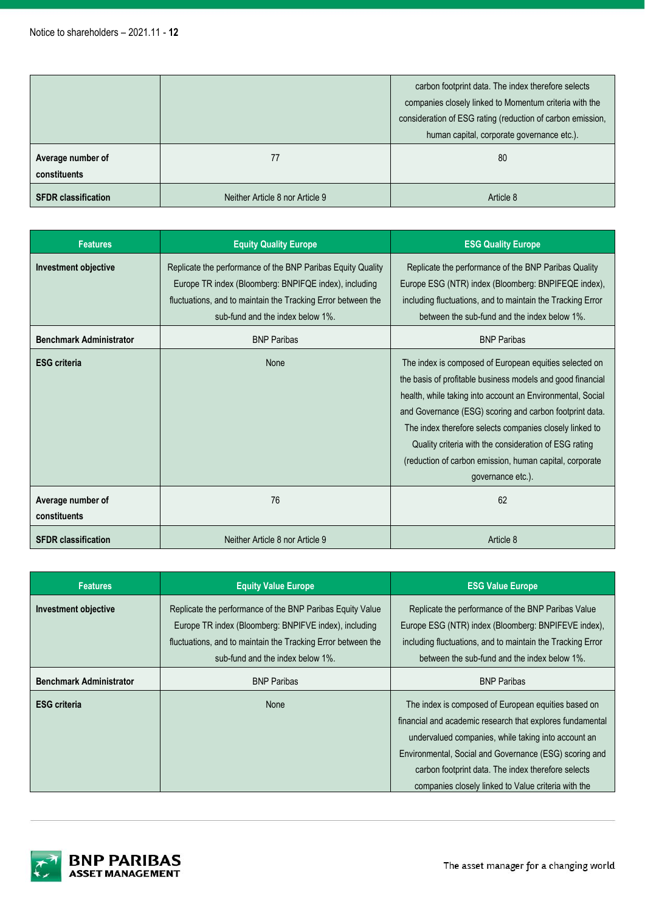|                                   |                                 | carbon footprint data. The index therefore selects<br>companies closely linked to Momentum criteria with the<br>consideration of ESG rating (reduction of carbon emission,<br>human capital, corporate governance etc.). |  |
|-----------------------------------|---------------------------------|--------------------------------------------------------------------------------------------------------------------------------------------------------------------------------------------------------------------------|--|
| Average number of<br>constituents | 77                              | 80                                                                                                                                                                                                                       |  |
| <b>SFDR classification</b>        | Neither Article 8 nor Article 9 | Article 8                                                                                                                                                                                                                |  |

| <b>Features</b>                   | <b>Equity Quality Europe</b>                                                                                                                                                                                             | <b>ESG Quality Europe</b>                                                                                                                                                                                                                                                                                                                                                                                                                         |
|-----------------------------------|--------------------------------------------------------------------------------------------------------------------------------------------------------------------------------------------------------------------------|---------------------------------------------------------------------------------------------------------------------------------------------------------------------------------------------------------------------------------------------------------------------------------------------------------------------------------------------------------------------------------------------------------------------------------------------------|
| Investment objective              | Replicate the performance of the BNP Paribas Equity Quality<br>Europe TR index (Bloomberg: BNPIFQE index), including<br>fluctuations, and to maintain the Tracking Error between the<br>sub-fund and the index below 1%. | Replicate the performance of the BNP Paribas Quality<br>Europe ESG (NTR) index (Bloomberg: BNPIFEQE index),<br>including fluctuations, and to maintain the Tracking Error<br>between the sub-fund and the index below 1%.                                                                                                                                                                                                                         |
| <b>Benchmark Administrator</b>    | <b>BNP Paribas</b>                                                                                                                                                                                                       | <b>BNP Paribas</b>                                                                                                                                                                                                                                                                                                                                                                                                                                |
| <b>ESG criteria</b>               | <b>None</b>                                                                                                                                                                                                              | The index is composed of European equities selected on<br>the basis of profitable business models and good financial<br>health, while taking into account an Environmental, Social<br>and Governance (ESG) scoring and carbon footprint data.<br>The index therefore selects companies closely linked to<br>Quality criteria with the consideration of ESG rating<br>(reduction of carbon emission, human capital, corporate<br>governance etc.). |
| Average number of<br>constituents | 76                                                                                                                                                                                                                       | 62                                                                                                                                                                                                                                                                                                                                                                                                                                                |
| <b>SFDR</b> classification        | Neither Article 8 nor Article 9                                                                                                                                                                                          | Article 8                                                                                                                                                                                                                                                                                                                                                                                                                                         |

| <b>Features</b>                | <b>Equity Value Europe</b>                                   | <b>ESG Value Europe</b>                                    |
|--------------------------------|--------------------------------------------------------------|------------------------------------------------------------|
| <b>Investment objective</b>    | Replicate the performance of the BNP Paribas Equity Value    | Replicate the performance of the BNP Paribas Value         |
|                                | Europe TR index (Bloomberg: BNPIFVE index), including        | Europe ESG (NTR) index (Bloomberg: BNPIFEVE index),        |
|                                | fluctuations, and to maintain the Tracking Error between the | including fluctuations, and to maintain the Tracking Error |
|                                | sub-fund and the index below 1%.                             | between the sub-fund and the index below 1%.               |
| <b>Benchmark Administrator</b> | <b>BNP Paribas</b>                                           | <b>BNP Paribas</b>                                         |
| <b>ESG</b> criteria            | <b>None</b>                                                  | The index is composed of European equities based on        |
|                                |                                                              | financial and academic research that explores fundamental  |
|                                |                                                              | undervalued companies, while taking into account an        |
|                                |                                                              | Environmental, Social and Governance (ESG) scoring and     |
|                                |                                                              | carbon footprint data. The index therefore selects         |
|                                |                                                              | companies closely linked to Value criteria with the        |

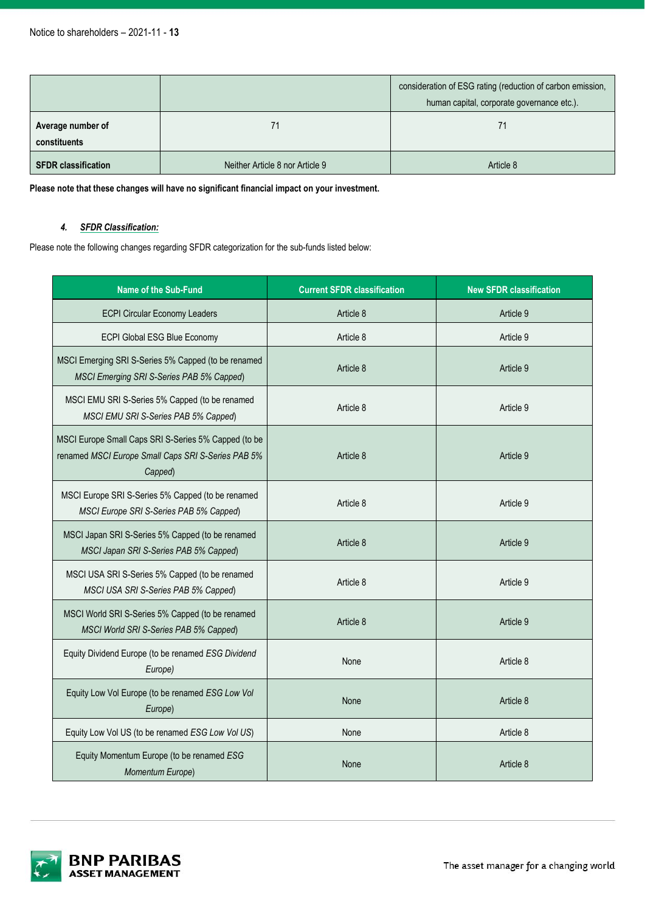|                                   |                                 | consideration of ESG rating (reduction of carbon emission,<br>human capital, corporate governance etc.). |
|-----------------------------------|---------------------------------|----------------------------------------------------------------------------------------------------------|
| Average number of<br>constituents | 71                              | 71                                                                                                       |
| <b>SFDR classification</b>        | Neither Article 8 nor Article 9 | Article 8                                                                                                |

**Please note that these changes will have no significant financial impact on your investment.**

# *4. SFDR Classification:*

Please note the following changes regarding SFDR categorization for the sub-funds listed below:

| <b>Name of the Sub-Fund</b>                                                                                           | <b>Current SFDR classification</b> | <b>New SFDR classification</b> |
|-----------------------------------------------------------------------------------------------------------------------|------------------------------------|--------------------------------|
| <b>ECPI Circular Economy Leaders</b>                                                                                  | Article 8                          | Article 9                      |
| ECPI Global ESG Blue Economy                                                                                          | Article 8                          | Article 9                      |
| MSCI Emerging SRI S-Series 5% Capped (to be renamed<br>MSCI Emerging SRI S-Series PAB 5% Capped)                      | Article 8                          | Article 9                      |
| MSCI EMU SRI S-Series 5% Capped (to be renamed<br>MSCI EMU SRI S-Series PAB 5% Capped)                                | Article 8                          | Article 9                      |
| MSCI Europe Small Caps SRI S-Series 5% Capped (to be<br>renamed MSCI Europe Small Caps SRI S-Series PAB 5%<br>Capped) | Article 8                          | Article 9                      |
| MSCI Europe SRI S-Series 5% Capped (to be renamed<br>MSCI Europe SRI S-Series PAB 5% Capped)                          | Article 8                          | Article 9                      |
| MSCI Japan SRI S-Series 5% Capped (to be renamed<br>MSCI Japan SRI S-Series PAB 5% Capped)                            | Article 8                          | Article 9                      |
| MSCI USA SRI S-Series 5% Capped (to be renamed<br>MSCI USA SRI S-Series PAB 5% Capped)                                | Article 8                          | Article 9                      |
| MSCI World SRI S-Series 5% Capped (to be renamed<br>MSCI World SRI S-Series PAB 5% Capped)                            | Article 8                          | Article 9                      |
| Equity Dividend Europe (to be renamed ESG Dividend<br>Europe)                                                         | None                               | Article 8                      |
| Equity Low Vol Europe (to be renamed ESG Low Vol<br>Europe)                                                           | None                               | Article 8                      |
| Equity Low Vol US (to be renamed ESG Low Vol US)                                                                      | None                               | Article 8                      |
| Equity Momentum Europe (to be renamed ESG<br>Momentum Europe)                                                         | None                               | Article 8                      |